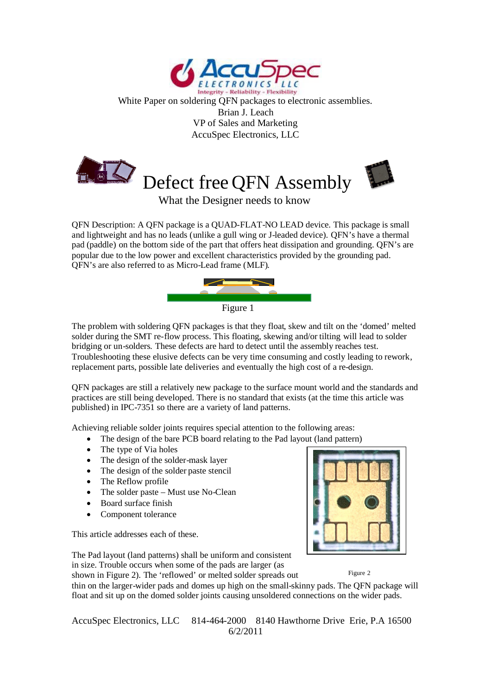

White Paper on soldering QFN packages to electronic assemblies. Brian J. Leach VP of Sales and Marketing AccuSpec Electronics, LLC





What the Designer needs to know

QFN Description: A QFN package is a QUAD-FLAT-NO LEAD device. This package is small and lightweight and has no leads (unlike a gull wing or J-leaded device). QFN's have a thermal pad (paddle) on the bottom side of the part that offers heat dissipation and grounding. QFN's are popular due to the low power and excellent characteristics provided by the grounding pad. QFN's are also referred to as Micro-Lead frame (MLF).



The problem with soldering QFN packages is that they float, skew and tilt on the 'domed' melted solder during the SMT re-flow process. This floating, skewing and/or tilting will lead to solder bridging or un-solders. These defects are hard to detect until the assembly reaches test. Troubleshooting these elusive defects can be very time consuming and costly leading to rework, replacement parts, possible late deliveries and eventually the high cost of a re-design.

QFN packages are still a relatively new package to the surface mount world and the standards and practices are still being developed. There is no standard that exists (at the time this article was published) in IPC-7351 so there are a variety of land patterns.

Achieving reliable solder joints requires special attention to the following areas:

- The design of the bare PCB board relating to the Pad layout (land pattern)
- The type of Via holes
- The design of the solder-mask layer
- The design of the solder paste stencil
- The Reflow profile
- The solder paste Must use No-Clean
- Board surface finish
- Component tolerance

This article addresses each of these.



Figure 2

The Pad layout (land patterns) shall be uniform and consistent in size. Trouble occurs when some of the pads are larger (as

shown in Figure 2). The 'reflowed' or melted solder spreads out

thin on the larger-wider pads and domes up high on the small-skinny pads. The QFN package will float and sit up on the domed solder joints causing unsoldered connections on the wider pads.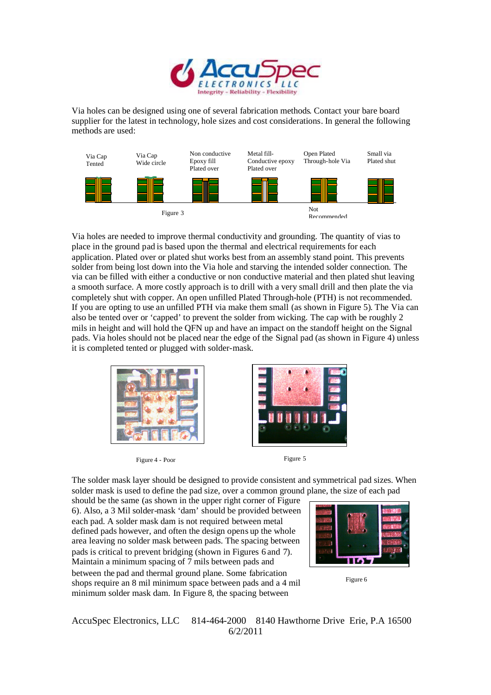

Via holes can be designed using one of several fabrication methods. Contact your bare board supplier for the latest in technology, hole sizes and cost considerations. In general the following methods are used:



Via holes are needed to improve thermal conductivity and grounding. The quantity of vias to place in the ground pad is based upon the thermal and electrical requirements for each application. Plated over or plated shut works best from an assembly stand point. This prevents solder from being lost down into the Via hole and starving the intended solder connection. The via can be filled with either a conductive or non conductive material and then plated shut leaving a smooth surface. A more costly approach is to drill with a very small drill and then plate the via completely shut with copper. An open unfilled Plated Through-hole (PTH) is not recommended. If you are opting to use an unfilled PTH via make them small (as shown in Figure 5). The Via can also be tented over or 'capped' to prevent the solder from wicking. The cap with be roughly 2 mils in height and will hold the QFN up and have an impact on the standoff height on the Signal pads. Via holes should not be placed near the edge of the Signal pad (as shown in Figure 4) unless it is completed tented or plugged with solder-mask.



Figure 4 - Poor Figure 5





The solder mask layer should be designed to provide consistent and symmetrical pad sizes. When solder mask is used to define the pad size, over a common ground plane, the size of each pad

should be the same (as shown in the upper right corner of Figure 6). Also, a 3 Mil solder-mask 'dam' should be provided between each pad. A solder mask dam is not required between metal defined pads however, and often the design opens up the whole area leaving no solder mask between pads. The spacing between pads is critical to prevent bridging (shown in Figures 6 and 7). Maintain a minimum spacing of 7 mils between pads and

between the pad and thermal ground plane. Some fabrication shops require an 8 mil minimum space between pads and a 4 mil minimum solder mask dam. In Figure 8, the spacing between



Figure 6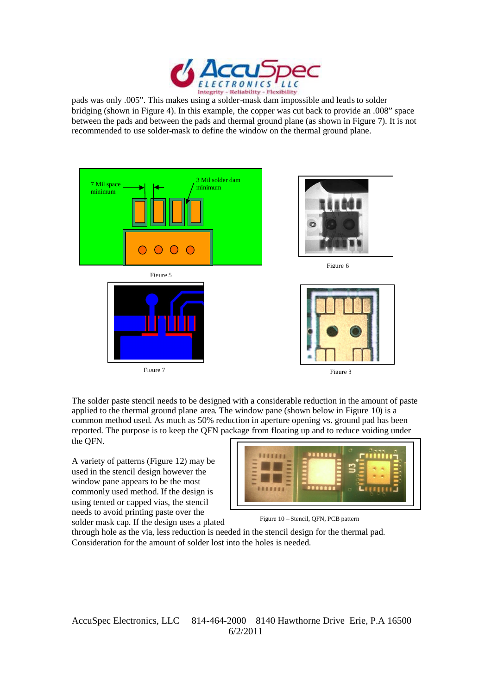

pads was only .005". This makes using a solder-mask dam impossible and leads to solder bridging (shown in Figure 4). In this example, the copper was cut back to provide an .008" space between the pads and between the pads and thermal ground plane (as shown in Figure 7). It is not recommended to use solder-mask to define the window on the thermal ground plane.



The solder paste stencil needs to be designed with a considerable reduction in the amount of paste applied to the thermal ground plane area. The window pane (shown below in Figure 10) is a common method used. As much as 50% reduction in aperture opening vs. ground pad has been reported. The purpose is to keep the QFN package from floating up and to reduce voiding under the QFN.

A variety of patterns (Figure 12) may be used in the stencil design however the window pane appears to be the most commonly used method. If the design is using tented or capped vias, the stencil needs to avoid printing paste over the



Figure 10 – Stencil, QFN, PCB pattern

solder mask cap. If the design uses a plated through hole as the via, less reduction is needed in the stencil design for the thermal pad. Consideration for the amount of solder lost into the holes is needed.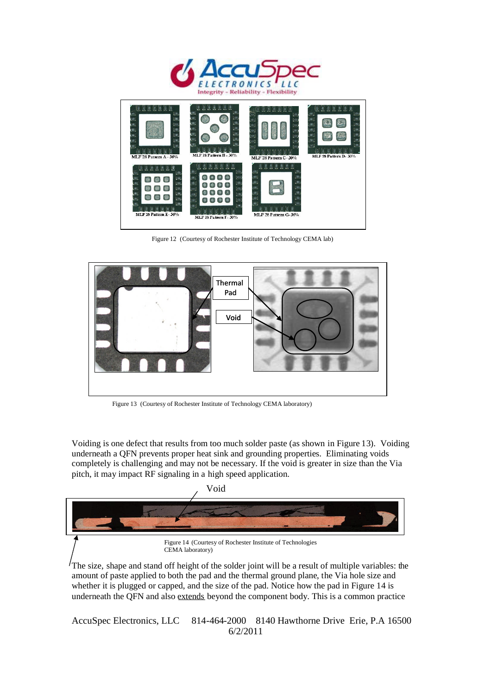



Figure 12 (Courtesy of Rochester Institute of Technology CEMA lab)



Figure 13 (Courtesy of Rochester Institute of Technology CEMA laboratory)

Voiding is one defect that results from too much solder paste (as shown in Figure 13). Voiding underneath a QFN prevents proper heat sink and grounding properties. Eliminating voids completely is challenging and may not be necessary. If the void is greater in size than the Via pitch, it may impact RF signaling in a high speed application.



The size, shape and stand off height of the solder joint will be a result of multiple variables: the amount of paste applied to both the pad and the thermal ground plane, the Via hole size and whether it is plugged or capped, and the size of the pad. Notice how the pad in Figure 14 is underneath the QFN and also extends beyond the component body. This is a common practice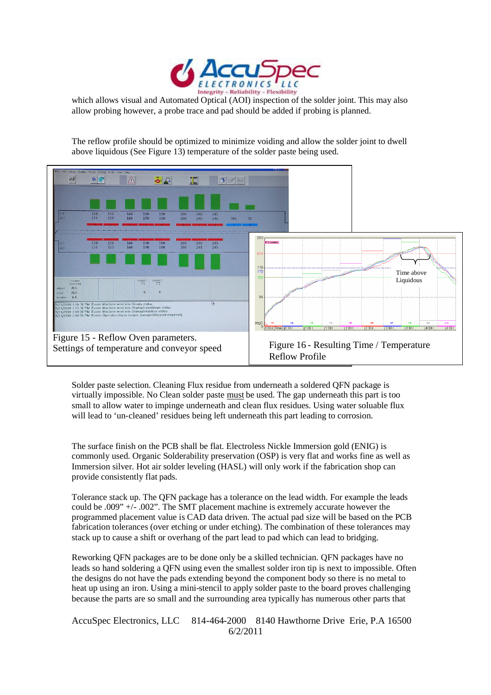

which allows visual and Automated Optical (AOI) inspection of the solder joint. This may also allow probing however, a probe trace and pad should be added if probing is planned.

The reflow profile should be optimized to minimize voiding and allow the solder joint to dwell above liquidous (See Figure  $13$ ) temperature of the solder paste being used.



Solder paste selection. Cleaning Flux residue from underneath a soldered QFN package is virtually impossible. No Clean solder paste must be used. The gap underneath this part is too small to allow water to impinge underneath and clean flux residues. Using water soluable flux will lead to 'un-cleaned' residues being left underneath this part leading to corrosion.

The surface finish on the PCB shall be flat. Electroless Nickle Immersion gold (ENIG) is commonly used. Organic Solderability preservation (OSP) is very flat and works fine as well as Immersion silver. Hot air solder leveling (HASL) will only work if the fabrication shop can provide consistently flat pads.

Tolerance stack up. The QFN package has a tolerance on the lead width. For example the leads could be .009" +/- .002". The SMT placement machine is extremely accurate however the programmed placement value is CAD data driven. The actual pad size will be based on the PCB fabrication tolerances (over etching or under etching). The combination of these tolerances may stack up to cause a shift or overhang of the part lead to pad which can lead to bridging.

Reworking QFN packages are to be done only be a skilled technician. QFN packages have no leads so hand soldering a QFN using even the smallest solder iron tip is next to impossible. Often the designs do not have the pads extending beyond the component body so there is no metal to heat up using an iron. Using a mini-stencil to apply solder paste to the board proves challenging because the parts are so small and the surrounding area typically has numerous other parts that